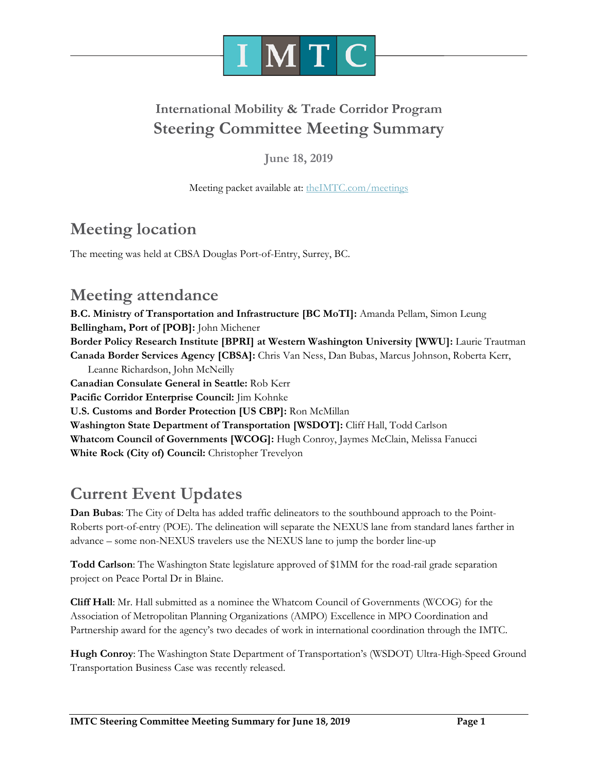

## **International Mobility & Trade Corridor Program Steering Committee Meeting Summary**

**June 18, 2019**

Meeting packet available at: [theIMTC.com/meetings](http://theimtc.com/meetings)

# **Meeting location**

The meeting was held at CBSA Douglas Port-of-Entry, Surrey, BC.

## **Meeting attendance**

**B.C. Ministry of Transportation and Infrastructure [BC MoTI]:** Amanda Pellam, Simon Leung **Bellingham, Port of [POB]:** John Michener **Border Policy Research Institute [BPRI] at Western Washington University [WWU]:** Laurie Trautman **Canada Border Services Agency [CBSA]:** Chris Van Ness, Dan Bubas, Marcus Johnson, Roberta Kerr, Leanne Richardson, John McNeilly **Canadian Consulate General in Seattle:** Rob Kerr **Pacific Corridor Enterprise Council:** Jim Kohnke **U.S. Customs and Border Protection [US CBP]:** Ron McMillan **Washington State Department of Transportation [WSDOT]:** Cliff Hall, Todd Carlson **Whatcom Council of Governments [WCOG]:** Hugh Conroy, Jaymes McClain, Melissa Fanucci **White Rock (City of) Council:** Christopher Trevelyon

## **Current Event Updates**

**Dan Bubas**: The City of Delta has added traffic delineators to the southbound approach to the Point-Roberts port-of-entry (POE). The delineation will separate the NEXUS lane from standard lanes farther in advance – some non-NEXUS travelers use the NEXUS lane to jump the border line-up

**Todd Carlson**: The Washington State legislature approved of \$1MM for the road-rail grade separation project on Peace Portal Dr in Blaine.

**Cliff Hall**: Mr. Hall submitted as a nominee the Whatcom Council of Governments (WCOG) for the Association of Metropolitan Planning Organizations (AMPO) Excellence in MPO Coordination and Partnership award for the agency's two decades of work in international coordination through the IMTC.

**Hugh Conroy**: The Washington State Department of Transportation's (WSDOT) Ultra-High-Speed Ground Transportation Business Case was recently released.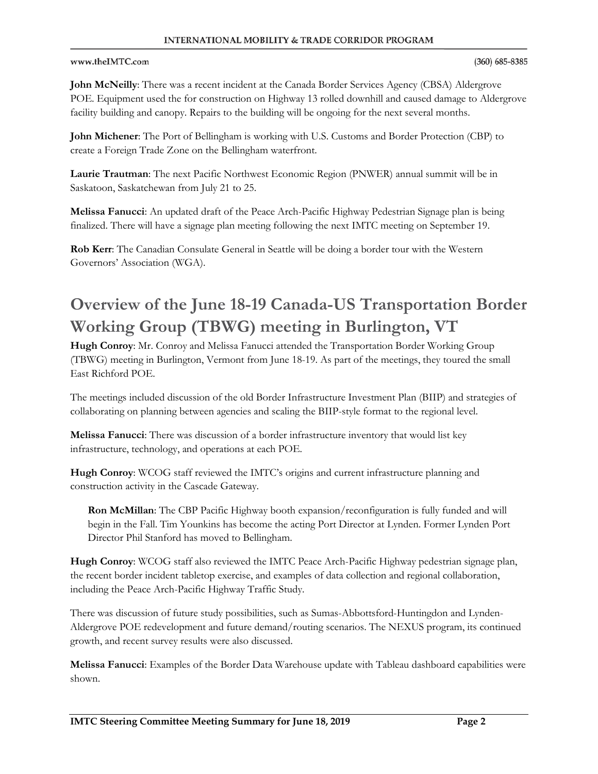#### **INTERNATIONAL MOBILITY & TRADE CORRIDOR PROGRAM**

#### www.theIMTC.com

#### $(360) 685 - 8385$

**John McNeilly**: There was a recent incident at the Canada Border Services Agency (CBSA) Aldergrove POE. Equipment used the for construction on Highway 13 rolled downhill and caused damage to Aldergrove facility building and canopy. Repairs to the building will be ongoing for the next several months.

**John Michener**: The Port of Bellingham is working with U.S. Customs and Border Protection (CBP) to create a Foreign Trade Zone on the Bellingham waterfront.

**Laurie Trautman**: The next Pacific Northwest Economic Region (PNWER) annual summit will be in Saskatoon, Saskatchewan from July 21 to 25.

**Melissa Fanucci**: An updated draft of the Peace Arch-Pacific Highway Pedestrian Signage plan is being finalized. There will have a signage plan meeting following the next IMTC meeting on September 19.

**Rob Kerr**: The Canadian Consulate General in Seattle will be doing a border tour with the Western Governors' Association (WGA).

# **Overview of the June 18-19 Canada-US Transportation Border Working Group (TBWG) meeting in Burlington, VT**

**Hugh Conroy**: Mr. Conroy and Melissa Fanucci attended the Transportation Border Working Group (TBWG) meeting in Burlington, Vermont from June 18-19. As part of the meetings, they toured the small East Richford POE.

The meetings included discussion of the old Border Infrastructure Investment Plan (BIIP) and strategies of collaborating on planning between agencies and scaling the BIIP-style format to the regional level.

**Melissa Fanucci**: There was discussion of a border infrastructure inventory that would list key infrastructure, technology, and operations at each POE.

**Hugh Conroy**: WCOG staff reviewed the IMTC's origins and current infrastructure planning and construction activity in the Cascade Gateway.

**Ron McMillan**: The CBP Pacific Highway booth expansion/reconfiguration is fully funded and will begin in the Fall. Tim Younkins has become the acting Port Director at Lynden. Former Lynden Port Director Phil Stanford has moved to Bellingham.

**Hugh Conroy**: WCOG staff also reviewed the IMTC Peace Arch-Pacific Highway pedestrian signage plan, the recent border incident tabletop exercise, and examples of data collection and regional collaboration, including the Peace Arch-Pacific Highway Traffic Study.

There was discussion of future study possibilities, such as Sumas-Abbottsford-Huntingdon and Lynden-Aldergrove POE redevelopment and future demand/routing scenarios. The NEXUS program, its continued growth, and recent survey results were also discussed.

**Melissa Fanucci**: Examples of the Border Data Warehouse update with Tableau dashboard capabilities were shown.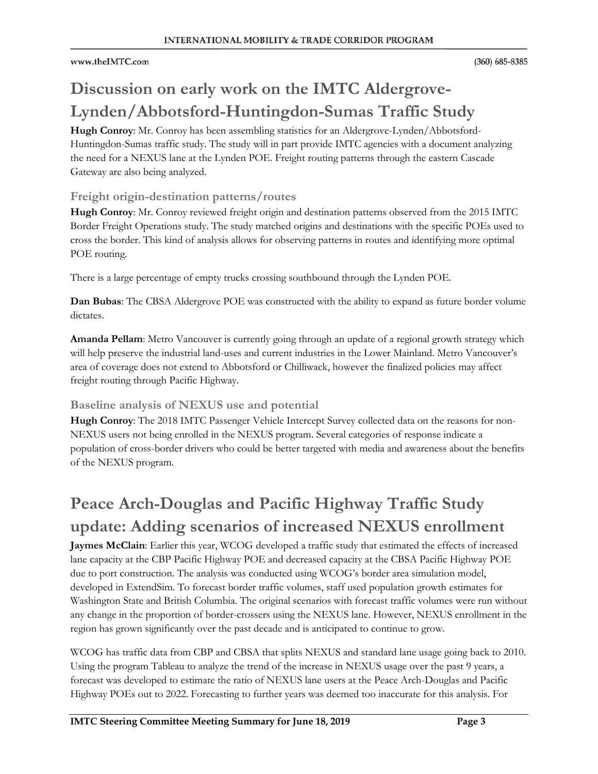# **Discussion on early work on the IMTC Aldergrove-Lynden/Abbotsford-Huntingdon-Sumas Traffic Study**

**Hugh Conroy**: Mr. Conroy has been assembling statistics for an Aldergrove-Lynden/Abbotsford-Huntingdon-Sumas traffic study. The study will in part provide IMTC agencies with a document analyzing the need for a NEXUS lane at the Lynden POE. Freight routing patterns through the eastern Cascade Gateway are also being analyzed.

### **Freight origin-destination patterns/routes**

**Hugh Conroy**: Mr. Conroy reviewed freight origin and destination patterns observed from the 2015 IMTC Border Freight Operations study. The study matched origins and destinations with the specific POEs used to cross the border. This kind of analysis allows for observing patterns in routes and identifying more optimal POE routing.

There is a large percentage of empty trucks crossing southbound through the Lynden POE.

**Dan Bubas**: The CBSA Aldergrove POE was constructed with the ability to expand as future border volume dictates.

**Amanda Pellam**: Metro Vancouver is currently going through an update of a regional growth strategy which will help preserve the industrial land-uses and current industries in the Lower Mainland. Metro Vancouver's area of coverage does not extend to Abbotsford or Chilliwack, however the finalized policies may affect freight routing through Pacific Highway.

### **Baseline analysis of NEXUS use and potential**

**Hugh Conroy**: The 2018 IMTC Passenger Vehicle Intercept Survey collected data on the reasons for non-NEXUS users not being enrolled in the NEXUS program. Several categories of response indicate a population of cross-border drivers who could be better targeted with media and awareness about the benefits of the NEXUS program.

# **Peace Arch-Douglas and Pacific Highway Traffic Study update: Adding scenarios of increased NEXUS enrollment**

**Jaymes McClain**: Earlier this year, WCOG developed a traffic study that estimated the effects of increased lane capacity at the CBP Pacific Highway POE and decreased capacity at the CBSA Pacific Highway POE due to port construction. The analysis was conducted using WCOG's border area simulation model, developed in ExtendSim. To forecast border traffic volumes, staff used population growth estimates for Washington State and British Columbia. The original scenarios with forecast traffic volumes were run without any change in the proportion of border-crossers using the NEXUS lane. However, NEXUS enrollment in the region has grown significantly over the past decade and is anticipated to continue to grow.

WCOG has traffic data from CBP and CBSA that splits NEXUS and standard lane usage going back to 2010. Using the program Tableau to analyze the trend of the increase in NEXUS usage over the past 9 years, a forecast was developed to estimate the ratio of NEXUS lane users at the Peace Arch-Douglas and Pacific Highway POEs out to 2022. Forecasting to further years was deemed too inaccurate for this analysis. For